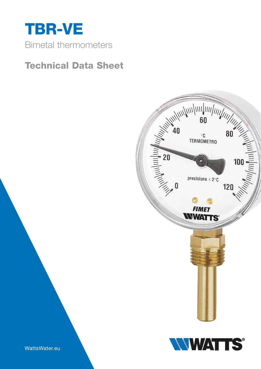

# Technical Data Sheet



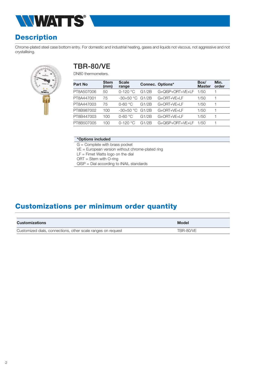

## **Description**

Chrome-plated steel case bottom entry. For domestic and industrial heating, gases and liquids not viscous, not aggressive and not crystallising.



#### TBR-80/VE

DN80 thermometers.

| <b>Stem</b><br>(mm) | <b>Scale</b><br>range |       |                      | Box/<br><b>Master</b>   | Min.<br>order |
|---------------------|-----------------------|-------|----------------------|-------------------------|---------------|
| 50                  | $0-120 °C$            | G1/2B | G+OISP+ORT+VE+LF     | 1/50                    |               |
| 75                  | -30+50 °C             | G1/2B | G+ORT+VE+LF          | 1/50                    |               |
| 75                  | $0 - 60$ °C           | G1/2B | $G + ORT + VF + I F$ | 1/50                    |               |
| 100                 | $-30+50$ °C           | G1/2B | G+ORT+VF+I F         | 1/50                    |               |
| 100                 | $0-60$ °C             | G1/2B | G+ORT+VE+LF          | 1/50                    |               |
| 100                 | $0-120 °C$            | G1/2B | G+QISP+ORT+VE+LF     | 1/50                    |               |
|                     |                       |       |                      | <b>Connec. Options*</b> |               |

#### \*Options included

G = Complete with brass pocket

VE = European version without chrome-plated ring

 $LF =$  Fimet Watts logo on the dial

ORT = Stem with O-ring

QISP = Dial according to INAIL standards

# Customizations per minimum order quantity

| Customizations                                               | <b>Model</b> |
|--------------------------------------------------------------|--------------|
| Customized dials, connections, other scale ranges on request | TBR-80/VE    |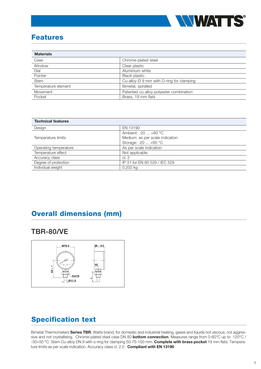

#### Features

| <b>Materials</b>    |                                                      |  |
|---------------------|------------------------------------------------------|--|
| Case                | Chrome-plated steel                                  |  |
| Window              | Clear plastic                                        |  |
| Dial                | Aluminium white                                      |  |
| Pointer             | <b>Black plastic</b>                                 |  |
| Stem                | Cu-alloy $\varnothing$ 9 mm with O-ring for clamping |  |
| Temperature element | Bimetal, spiralled                                   |  |
| Movement            | Patented cu-alloy-polyester combination              |  |
| Pocket              | Brass, 19 mm flats                                   |  |

| <b>Technical features</b> |                                 |  |
|---------------------------|---------------------------------|--|
| Design                    | EN 13190                        |  |
|                           | Ambient: $-20$ $+60$ °C         |  |
| Temperature limits        | Medium: as per scale indication |  |
|                           | Storage: $-20$ $+60$ °C         |  |
| Operating temperature     | As per scale indication         |  |
| Temperature effect        | Not applicable                  |  |
| Accuracy class            | cl. 2                           |  |
| Degree of protection      | IP 31 for EN 60 529 / IEC 529   |  |
| Individual weight         | 0.202 kg                        |  |

## Overall dimensions (mm)

#### TBR-80/VE



# Specification text

Bimetal Thermometers **Series TBR**, Watts brand, for domestic and industrial heating, gases and liquids not viscous, not aggressive and not crystallising. Chrome-plated steel case DN 80 **bottom connection**. Measures range from 0-60°C up to 120°C / -30+50 °C. Stem Cu-alloy DN 9 with o-ring for clamping 50-75-100 mm. Complete with brass pocket 19 mm flats. Temperature limits as per scale indication. Accuracy class cl. 2.0 . Compliant with EN 13190